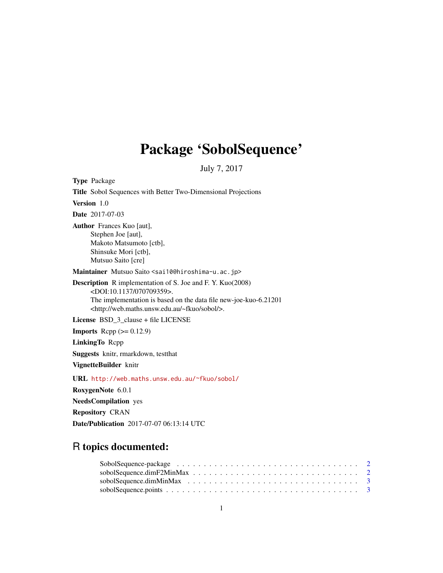## Package 'SobolSequence'

July 7, 2017

Type Package Title Sobol Sequences with Better Two-Dimensional Projections Version 1.0 Date 2017-07-03 Author Frances Kuo [aut], Stephen Joe [aut], Makoto Matsumoto [ctb], Shinsuke Mori [ctb], Mutsuo Saito [cre] Maintainer Mutsuo Saito <sai10@hiroshima-u.ac.jp> Description R implementation of S. Joe and F. Y. Kuo(2008) <DOI:10.1137/070709359>. The implementation is based on the data file new-joe-kuo-6.21201 <http://web.maths.unsw.edu.au/~fkuo/sobol/>. License BSD\_3\_clause + file LICENSE **Imports** Rcpp  $(>= 0.12.9)$ LinkingTo Rcpp Suggests knitr, rmarkdown, testthat VignetteBuilder knitr URL <http://web.maths.unsw.edu.au/~fkuo/sobol/> RoxygenNote 6.0.1 NeedsCompilation yes Repository CRAN Date/Publication 2017-07-07 06:13:14 UTC

### R topics documented: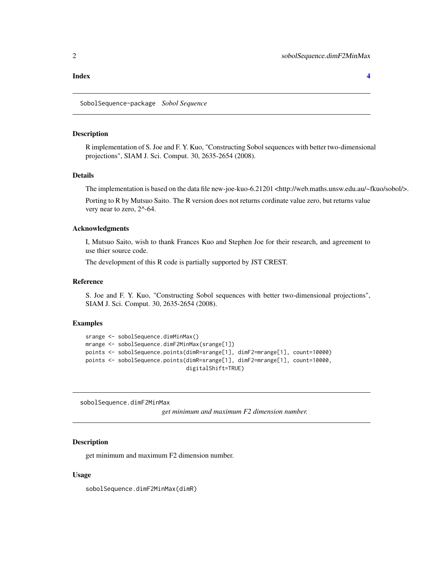#### <span id="page-1-0"></span>**Index** [4](#page-3-0)

SobolSequence-package *Sobol Sequence*

#### **Description**

R implementation of S. Joe and F. Y. Kuo, "Constructing Sobol sequences with better two-dimensional projections", SIAM J. Sci. Comput. 30, 2635-2654 (2008).

#### Details

The implementation is based on the data file new-joe-kuo-6.21201 <http://web.maths.unsw.edu.au/~fkuo/sobol/>.

Porting to R by Mutsuo Saito. The R version does not returns cordinate value zero, but returns value very near to zero, 2^-64.

#### Acknowledgments

I, Mutsuo Saito, wish to thank Frances Kuo and Stephen Joe for their research, and agreement to use thier source code.

The development of this R code is partially supported by JST CREST.

#### Reference

S. Joe and F. Y. Kuo, "Constructing Sobol sequences with better two-dimensional projections", SIAM J. Sci. Comput. 30, 2635-2654 (2008).

#### Examples

```
srange <- sobolSequence.dimMinMax()
mrange <- sobolSequence.dimF2MinMax(srange[1])
points <- sobolSequence.points(dimR=srange[1], dimF2=mrange[1], count=10000)
points <- sobolSequence.points(dimR=srange[1], dimF2=mrange[1], count=10000,
                               digitalShift=TRUE)
```
sobolSequence.dimF2MinMax

*get minimum and maximum F2 dimension number.*

#### **Description**

get minimum and maximum F2 dimension number.

#### Usage

sobolSequence.dimF2MinMax(dimR)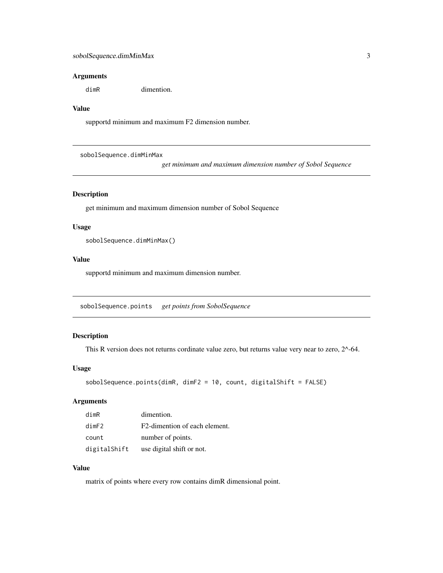#### <span id="page-2-0"></span>Arguments

dimR dimention.

#### Value

supportd minimum and maximum F2 dimension number.

sobolSequence.dimMinMax

*get minimum and maximum dimension number of Sobol Sequence*

#### Description

get minimum and maximum dimension number of Sobol Sequence

#### Usage

sobolSequence.dimMinMax()

#### Value

supportd minimum and maximum dimension number.

sobolSequence.points *get points from SobolSequence*

#### Description

This R version does not returns cordinate value zero, but returns value very near to zero, 2^-64.

#### Usage

```
sobolSequence.points(dimR, dimF2 = 10, count, digitalShift = FALSE)
```
#### Arguments

| dimR         | dimention.                    |
|--------------|-------------------------------|
| dimF2        | F2-dimention of each element. |
| count        | number of points.             |
| digitalShift | use digital shift or not.     |

#### Value

matrix of points where every row contains dimR dimensional point.